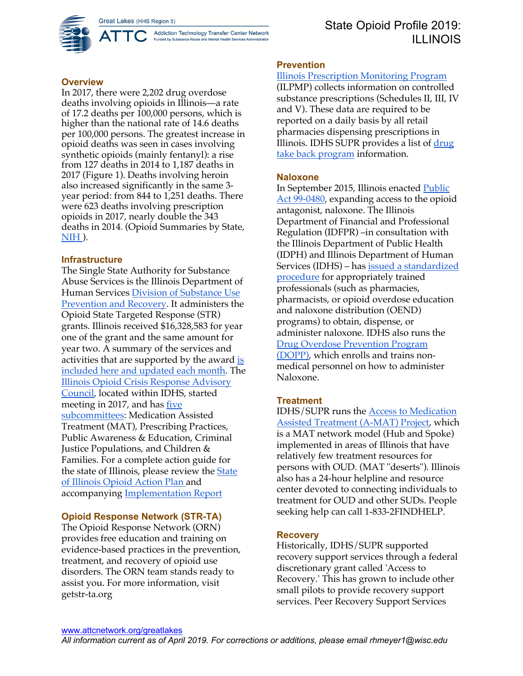Addiction Technology Transfer Center Network Funded by Substance Abuse and Mental Health Services Administration



# **Overview**

In 2017, there were 2,202 drug overdose deaths involving opioids in Illinois—a rate of 17.2 deaths per 100,000 persons, which is higher than the national rate of 14.6 deaths per 100,000 persons. The greatest increase in opioid deaths was seen in cases involving synthetic opioids (mainly fentanyl): a rise from 127 deaths in 2014 to 1,187 deaths in 2017 (Figure 1). Deaths involving heroin also increased significantly in the same 3 year period: from 844 to 1,251 deaths. There were 623 deaths involving prescription opioids in 2017, nearly double the 343 deaths in 2014. (Opioid Summaries by State, NIH ).

# **Infrastructure**

The Single State Authority for Substance Abuse Services is the Illinois Department of Human Services Division of Substance Use Prevention and Recovery. It administers the Opioid State Targeted Response (STR) grants. Illinois received \$16,328,583 for year one of the grant and the same amount for year two. A summary of the services and activities that are supported by the award is included here and updated each month. The Illinois Opioid Crisis Response Advisory Council, located within IDHS, started meeting in 2017, and has five subcommittees: Medication Assisted Treatment (MAT), Prescribing Practices, Public Awareness & Education, Criminal Justice Populations, and Children & Families. For a complete action guide for the state of Illinois, please review the State of Illinois Opioid Action Plan and accompanying Implementation Report

# **Opioid Response Network (STR-TA)**

The Opioid Response Network (ORN) provides free education and training on evidence-based practices in the prevention, treatment, and recovery of opioid use disorders. The ORN team stands ready to assist you. For more information, visit getstr-ta.org

### **Prevention**

Illinois Prescription Monitoring Program (ILPMP) collects information on controlled substance prescriptions (Schedules II, III, IV and V). These data are required to be reported on a daily basis by all retail pharmacies dispensing prescriptions in Illinois. IDHS SUPR provides a list of drug take back program information.

### **Naloxone**

In September 2015, Illinois enacted Public Act 99-0480, expanding access to the opioid antagonist, naloxone. The Illinois Department of Financial and Professional Regulation (IDFPR) –in consultation with the Illinois Department of Public Health (IDPH) and Illinois Department of Human Services (IDHS) – has issued a standardized procedure for appropriately trained professionals (such as pharmacies, pharmacists, or opioid overdose education and naloxone distribution (OEND) programs) to obtain, dispense, or administer naloxone. IDHS also runs the Drug Overdose Prevention Program (DOPP), which enrolls and trains nonmedical personnel on how to administer Naloxone.

# **Treatment**

IDHS/SUPR runs the Access to Medication Assisted Treatment (A-MAT) Project, which is a MAT network model (Hub and Spoke) implemented in areas of Illinois that have relatively few treatment resources for persons with OUD. (MAT "deserts"). Illinois also has a 24-hour helpline and resource center devoted to connecting individuals to treatment for OUD and other SUDs. People seeking help can call 1-833-2FINDHELP.

# **Recovery**

Historically, IDHS/SUPR supported recovery support services through a federal discretionary grant called 'Access to Recovery.' This has grown to include other small pilots to provide recovery support services. Peer Recovery Support Services